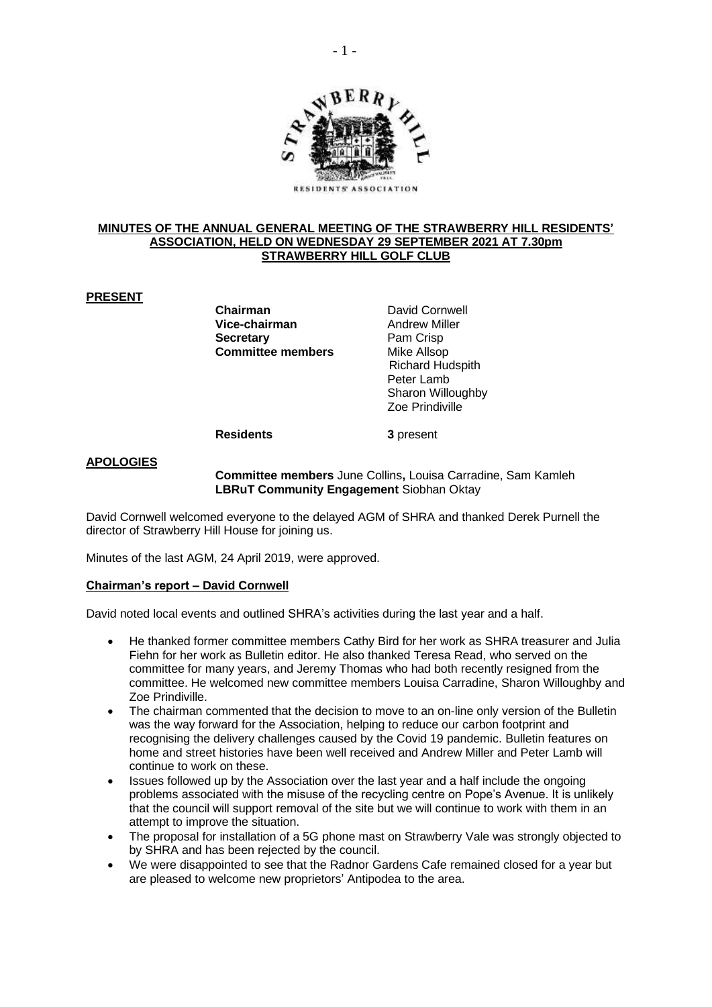

#### **MINUTES OF THE ANNUAL GENERAL MEETING OF THE STRAWBERRY HILL RESIDENTS' ASSOCIATION, HELD ON WEDNESDAY 29 SEPTEMBER 2021 AT 7.30pm STRAWBERRY HILL GOLF CLUB**

# **PRESENT**

**Chairman Chairman** David Cornwell<br> **Vice-chairman** Andrew Miller **Vice-chairman Secretary** Pam Crisp **Committee members** Mike Allsop

 Richard Hudspith Peter Lamb Sharon Willoughby Zoe Prindiville

**Residents 3** present

## **APOLOGIES**

**Committee members** June Collins**,** Louisa Carradine, Sam Kamleh **LBRuT Community Engagement** Siobhan Oktay

David Cornwell welcomed everyone to the delayed AGM of SHRA and thanked Derek Purnell the director of Strawberry Hill House for joining us.

Minutes of the last AGM, 24 April 2019, were approved.

# **Chairman's report – David Cornwell**

David noted local events and outlined SHRA's activities during the last year and a half.

- He thanked former committee members Cathy Bird for her work as SHRA treasurer and Julia Fiehn for her work as Bulletin editor. He also thanked Teresa Read, who served on the committee for many years, and Jeremy Thomas who had both recently resigned from the committee. He welcomed new committee members Louisa Carradine, Sharon Willoughby and Zoe Prindiville.
- The chairman commented that the decision to move to an on-line only version of the Bulletin was the way forward for the Association, helping to reduce our carbon footprint and recognising the delivery challenges caused by the Covid 19 pandemic. Bulletin features on home and street histories have been well received and Andrew Miller and Peter Lamb will continue to work on these.
- Issues followed up by the Association over the last year and a half include the ongoing problems associated with the misuse of the recycling centre on Pope's Avenue. It is unlikely that the council will support removal of the site but we will continue to work with them in an attempt to improve the situation.
- The proposal for installation of a 5G phone mast on Strawberry Vale was strongly objected to by SHRA and has been rejected by the council.
- We were disappointed to see that the Radnor Gardens Cafe remained closed for a year but are pleased to welcome new proprietors' Antipodea to the area.